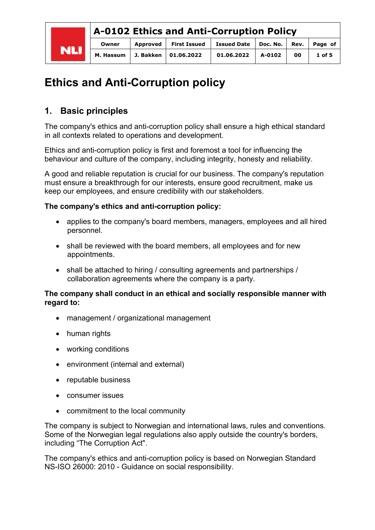|            | A-0102 Ethics and Anti-Corruption Policy |           |                     |                                         |        |    |          |  |
|------------|------------------------------------------|-----------|---------------------|-----------------------------------------|--------|----|----------|--|
|            | Owner                                    | Approved  | <b>First Issued</b> | Issued Date   Doc. No.   Rev.   Page of |        |    |          |  |
| <b>NLI</b> | M. Hassum                                | J. Bakken | 01.06.2022          | 01.06.2022                              | A-0102 | 00 | $1$ of 5 |  |

# **Ethics and Anti-Corruption policy**

## **1. Basic principles**

The company's ethics and anti-corruption policy shall ensure a high ethical standard in all contexts related to operations and development.

Ethics and anti-corruption policy is first and foremost a tool for influencing the behaviour and culture of the company, including integrity, honesty and reliability.

A good and reliable reputation is crucial for our business. The company's reputation must ensure a breakthrough for our interests, ensure good recruitment, make us keep our employees, and ensure credibility with our stakeholders.

#### **The company's ethics and anti-corruption policy:**

- applies to the company's board members, managers, employees and all hired personnel.
- shall be reviewed with the board members, all employees and for new appointments.
- shall be attached to hiring / consulting agreements and partnerships / collaboration agreements where the company is a party.

#### **The company shall conduct in an ethical and socially responsible manner with regard to:**

- management / organizational management
- human rights
- working conditions
- environment (internal and external)
- reputable business
- consumer issues
- commitment to the local community

The company is subject to Norwegian and international laws, rules and conventions. Some of the Norwegian legal regulations also apply outside the country's borders, including "The Corruption Act".

The company's ethics and anti-corruption policy is based on Norwegian Standard NS-ISO 26000: 2010 - Guidance on social responsibility.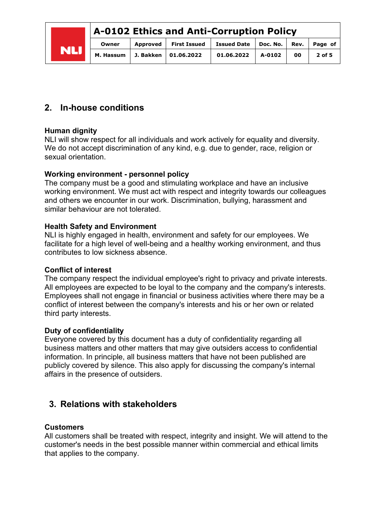| <b>NLI</b> | A-0102 Ethics and Anti-Corruption Policy |           |          |                        |                        |        |      |          |
|------------|------------------------------------------|-----------|----------|------------------------|------------------------|--------|------|----------|
|            |                                          | Owner     | Approved | <b>First Issued</b>    | Issued Date   Doc. No. |        | Rev. | Page of  |
|            |                                          | M. Hassum |          | J. Bakken   01.06.2022 | 01.06.2022             | A-0102 | 00   | $2$ of 5 |

## **2. In-house conditions**

#### **Human dignity**

NLI will show respect for all individuals and work actively for equality and diversity. We do not accept discrimination of any kind, e.g. due to gender, race, religion or sexual orientation.

#### **Working environment - personnel policy**

The company must be a good and stimulating workplace and have an inclusive working environment. We must act with respect and integrity towards our colleagues and others we encounter in our work. Discrimination, bullying, harassment and similar behaviour are not tolerated.

#### **Health Safety and Environment**

NLI is highly engaged in health, environment and safety for our employees. We facilitate for a high level of well-being and a healthy working environment, and thus contributes to low sickness absence.

#### **Conflict of interest**

The company respect the individual employee's right to privacy and private interests. All employees are expected to be loyal to the company and the company's interests. Employees shall not engage in financial or business activities where there may be a conflict of interest between the company's interests and his or her own or related third party interests.

#### **Duty of confidentiality**

Everyone covered by this document has a duty of confidentiality regarding all business matters and other matters that may give outsiders access to confidential information. In principle, all business matters that have not been published are publicly covered by silence. This also apply for discussing the company's internal affairs in the presence of outsiders.

### **3. Relations with stakeholders**

#### **Customers**

All customers shall be treated with respect, integrity and insight. We will attend to the customer's needs in the best possible manner within commercial and ethical limits that applies to the company.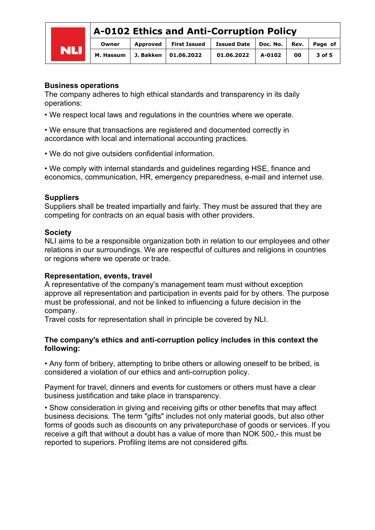## **A-0102 Ethics and Anti-Corruption Policy**

| <b>NLI</b> | Owner | Approved   First Issued   Issued Date   Doc. No.   Rev.   Page of |                       |    |            |
|------------|-------|-------------------------------------------------------------------|-----------------------|----|------------|
|            |       | M. Hassum   J. Bakken   01.06.2022                                | $01.06.2022$ $A-0102$ | 00 | $3$ of $5$ |

#### **Business operations**

The company adheres to high ethical standards and transparency in its daily operations:

• We respect local laws and regulations in the countries where we operate.

• We ensure that transactions are registered and documented correctly in accordance with local and international accounting practices.

• We do not give outsiders confidential information.

• We comply with internal standards and guidelines regarding HSE, finance and economics, communication, HR, emergency preparedness, e-mail and internet use.

#### **Suppliers**

Suppliers shall be treated impartially and fairly. They must be assured that they are competing for contracts on an equal basis with other providers.

#### **Society**

NLI aims to be a responsible organization both in relation to our employees and other relations in our surroundings. We are respectful of cultures and religions in countries or regions where we operate or trade.

#### **Representation, events, travel**

A representative of the company's management team must without exception approve all representation and participation in events paid for by others. The purpose must be professional, and not be linked to influencing a future decision in the company.

Travel costs for representation shall in principle be covered by NLI.

#### **The company's ethics and anti-corruption policy includes in this context the following:**

• Any form of bribery, attempting to bribe others or allowing oneself to be bribed, is considered a violation of our ethics and anti-corruption policy.

Payment for travel, dinners and events for customers or others must have a clear business justification and take place in transparency.

• Show consideration in giving and receiving gifts or other benefits that may affect business decisions. The term "gifts" includes not only material goods, but also other forms of goods such as discounts on any privatepurchase of goods or services. If you receive a gift that without a doubt has a value of more than NOK 500,- this must be reported to superiors. Profiling items are not considered gifts.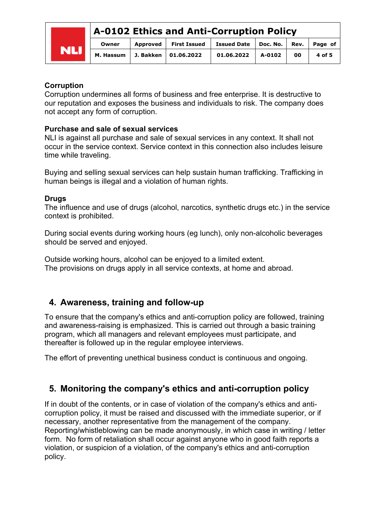## **A-0102 Ethics and Anti-Corruption Policy**



#### **Corruption**

Corruption undermines all forms of business and free enterprise. It is destructive to our reputation and exposes the business and individuals to risk. The company does not accept any form of corruption.

#### **Purchase and sale of sexual services**

NLI is against all purchase and sale of sexual services in any context. It shall not occur in the service context. Service context in this connection also includes leisure time while traveling.

Buying and selling sexual services can help sustain human trafficking. Trafficking in human beings is illegal and a violation of human rights.

#### **Drugs**

The influence and use of drugs (alcohol, narcotics, synthetic drugs etc.) in the service context is prohibited.

During social events during working hours (eg lunch), only non-alcoholic beverages should be served and enjoyed.

Outside working hours, alcohol can be enjoyed to a limited extent. The provisions on drugs apply in all service contexts, at home and abroad.

## **4. Awareness, training and follow-up**

To ensure that the company's ethics and anti-corruption policy are followed, training and awareness-raising is emphasized. This is carried out through a basic training program, which all managers and relevant employees must participate, and thereafter is followed up in the regular employee interviews.

The effort of preventing unethical business conduct is continuous and ongoing.

## **5. Monitoring the company's ethics and anti-corruption policy**

If in doubt of the contents, or in case of violation of the company's ethics and anticorruption policy, it must be raised and discussed with the immediate superior, or if necessary, another representative from the management of the company. Reporting/whistleblowing can be made anonymously, in which case in writing / letter form. No form of retaliation shall occur against anyone who in good faith reports a violation, or suspicion of a violation, of the company's ethics and anti-corruption policy.